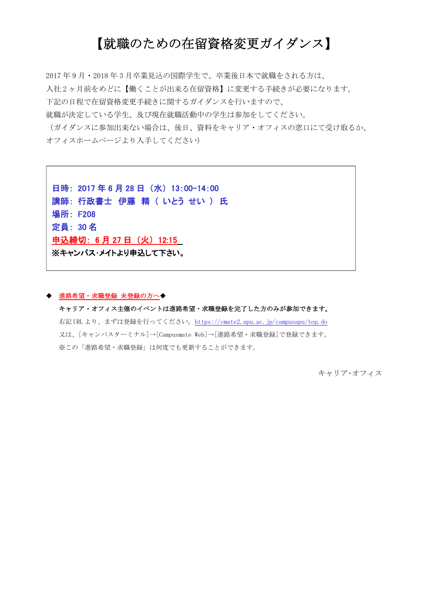# 【就職のための在留資格変更ガイダンス】

2017 年 9 月・2018 年 3 月卒業見込の国際学生で、卒業後日本で就職をされる方は、 入社 2 ヶ月前をめどに【働くことが出来る在留資格】に変更する手続きが必要になります。 下記の日程で在留資格変更手続きに関するガイダンスを行いますので、

就職が決定している学生、及び現在就職活動中の学生は参加をしてください。

(ガイダンスに参加出来ない場合は、後日、資料をキャリア・オフィスの窓口にて受け取るか、 オフィスホームページより入手してください)

日時: 2017 年 6 月 28 日 (水) 13:00-14:00 講師: 行政書士 伊藤 精 ( いとう せい ) 氏 場所: F208 定員: 30 名 申込締切: 6 月 27 日 (火) 12:15 ※キャンパス・メイトより申込して下さい。

### ◆ 進路希望・求職登録 未登録の方へ◆

ſ  $\overline{\phantom{a}}$  $\overline{\phantom{a}}$  $\overline{\phantom{a}}$  $\overline{\phantom{a}}$  $\overline{\phantom{a}}$  $\overline{\phantom{a}}$  $\overline{\phantom{a}}$  $\overline{a}$ 

> キャリア・オフィス主催のイベントは進路希望・求職登録を完了した方のみが参加できます。 右記 URL より、まずは登録を行ってください。<https://cmate2.apu.ac.jp/campusapu/top.do> 又は、[キャンパスターミナル]→[Campusmate Web]→[進路希望・求職登録]で登録できます。 ※この「進路希望・求職登録」は何度でも更新することができます。

> > キャリア・オフィス